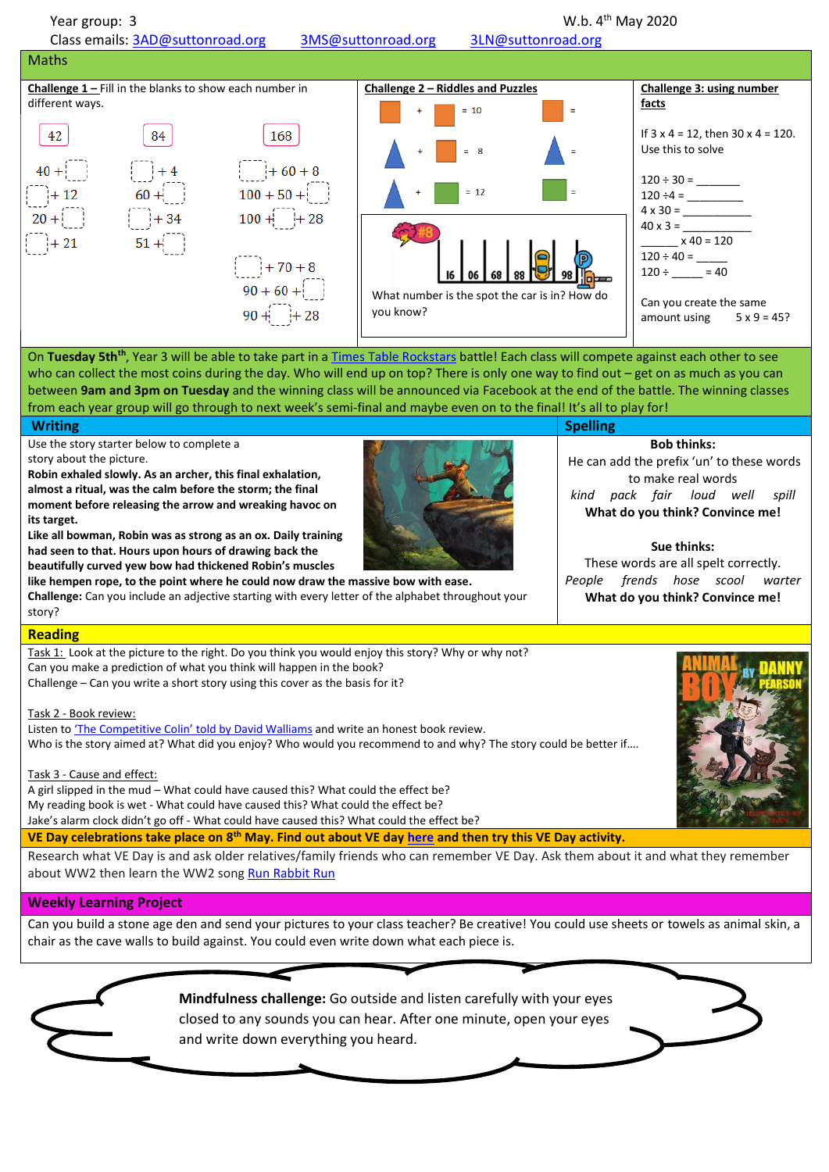